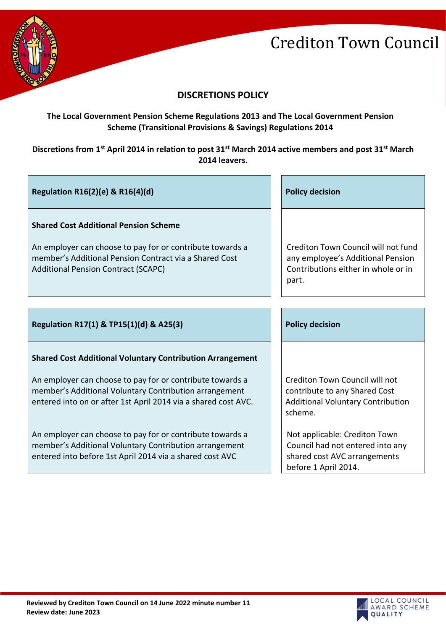

# **DISCRETIONS POLICY**

## **The Local Government Pension Scheme Regulations 2013 and The Local Government Pension Scheme (Transitional Provisions & Savings) Regulations 2014**

## **Discretions from 1st April 2014 in relation to post 31st March 2014 active members and post 31st March 2014 leavers.**

| Regulation R16(2)(e) & R16(4)(d)                                                                                                                                                                                  | <b>Policy decision</b>                                                                                                    |
|-------------------------------------------------------------------------------------------------------------------------------------------------------------------------------------------------------------------|---------------------------------------------------------------------------------------------------------------------------|
| <b>Shared Cost Additional Pension Scheme</b><br>An employer can choose to pay for or contribute towards a<br>member's Additional Pension Contract via a Shared Cost<br><b>Additional Pension Contract (SCAPC)</b> | Crediton Town Council will not fund<br>any employee's Additional Pension<br>Contributions either in whole or in<br>part.  |
|                                                                                                                                                                                                                   | <b>Policy decision</b>                                                                                                    |
| Regulation R17(1) & TP15(1)(d) & A25(3)                                                                                                                                                                           |                                                                                                                           |
| <b>Shared Cost Additional Voluntary Contribution Arrangement</b>                                                                                                                                                  |                                                                                                                           |
| An employer can choose to pay for or contribute towards a<br>member's Additional Voluntary Contribution arrangement<br>entered into on or after 1st April 2014 via a shared cost AVC.                             | Crediton Town Council will not<br>contribute to any Shared Cost<br><b>Additional Voluntary Contribution</b><br>scheme.    |
| An employer can choose to pay for or contribute towards a<br>member's Additional Voluntary Contribution arrangement<br>entered into before 1st April 2014 via a shared cost AVC                                   | Not applicable: Crediton Town<br>Council had not entered into any<br>shared cost AVC arrangements<br>before 1 April 2014. |

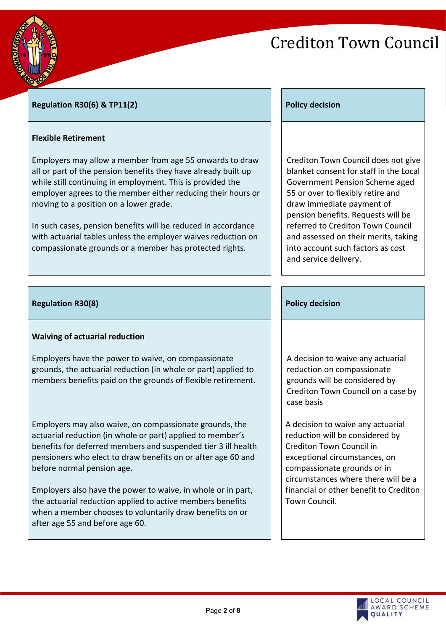

### **Regulation R30(6) & TP11(2) Policy decision**

### **Flexible Retirement**

Employers may allow a member from age 55 onwards to draw all or part of the pension benefits they have already built up while still continuing in employment. This is provided the employer agrees to the member either reducing their hours or moving to a position on a lower grade.

In such cases, pension benefits will be reduced in accordance with actuarial tables unless the employer waives reduction on compassionate grounds or a member has protected rights.

Crediton Town Council does not give blanket consent for staff in the Local Government Pension Scheme aged 55 or over to flexibly retire and draw immediate payment of pension benefits. Requests will be referred to Crediton Town Council and assessed on their merits, taking into account such factors as cost and service delivery.

### **Regulation R30(8) Policy decision Policy decision Policy decision**

### **Waiving of actuarial reduction**

Employers have the power to waive, on compassionate grounds, the actuarial reduction (in whole or part) applied to members benefits paid on the grounds of flexible retirement.

Employers may also waive, on compassionate grounds, the actuarial reduction (in whole or part) applied to member's benefits for deferred members and suspended tier 3 ill health pensioners who elect to draw benefits on or after age 60 and before normal pension age.

Employers also have the power to waive, in whole or in part, the actuarial reduction applied to active members benefits when a member chooses to voluntarily draw benefits on or after age 55 and before age 60.

A decision to waive any actuarial reduction on compassionate grounds will be considered by Crediton Town Council on a case by case basis

A decision to waive any actuarial reduction will be considered by Crediton Town Council in exceptional circumstances, on compassionate grounds or in circumstances where there will be a financial or other benefit to Crediton Town Council.

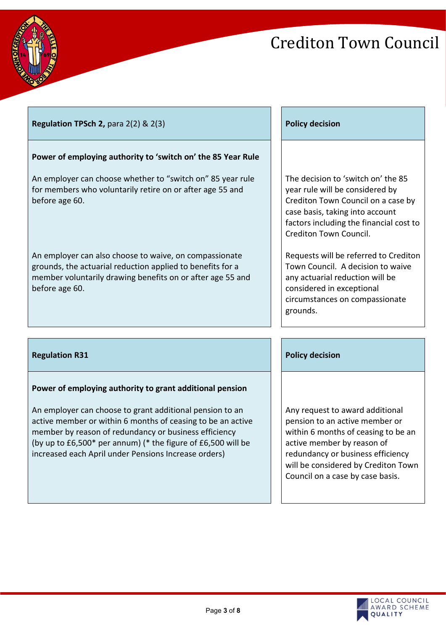

# **Regulation TPSch 2, para 2(2) & 2(3) Policy decision PSch 2, para 2(2) & 2(3) Policy decision**

## **Power of employing authority to 'switch on' the 85 Year Rule**

An employer can choose whether to "switch on" 85 year rule for members who voluntarily retire on or after age 55 and before age 60.

An employer can also choose to waive, on compassionate grounds, the actuarial reduction applied to benefits for a member voluntarily drawing benefits on or after age 55 and before age 60.

The decision to 'switch on' the 85 year rule will be considered by Crediton Town Council on a case by case basis, taking into account factors including the financial cost to Crediton Town Council.

Requests will be referred to Crediton Town Council. A decision to waive any actuarial reduction will be considered in exceptional circumstances on compassionate grounds.

### **Regulation R31 Policy decision Policy decision Policy decision**

## **Power of employing authority to grant additional pension**

An employer can choose to grant additional pension to an active member or within 6 months of ceasing to be an active member by reason of redundancy or business efficiency (by up to £6,500\* per annum) (\* the figure of £6,500 will be increased each April under Pensions Increase orders)

Any request to award additional pension to an active member or within 6 months of ceasing to be an active member by reason of redundancy or business efficiency will be considered by Crediton Town Council on a case by case basis.

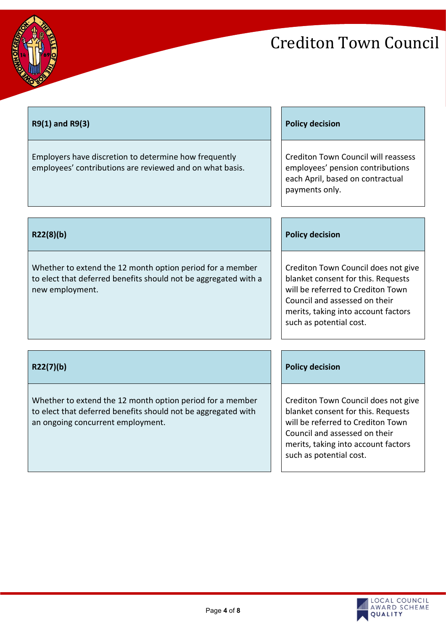

T

# Crediton Town Council

| R9(1) and R9(3)                                                                                                                                                 | <b>Policy decision</b>                                                                                                                                                                                            |
|-----------------------------------------------------------------------------------------------------------------------------------------------------------------|-------------------------------------------------------------------------------------------------------------------------------------------------------------------------------------------------------------------|
| Employers have discretion to determine how frequently<br>employees' contributions are reviewed and on what basis.                                               | <b>Crediton Town Council will reassess</b><br>employees' pension contributions<br>each April, based on contractual<br>payments only.                                                                              |
|                                                                                                                                                                 |                                                                                                                                                                                                                   |
| R22(8)(b)                                                                                                                                                       | <b>Policy decision</b>                                                                                                                                                                                            |
| Whether to extend the 12 month option period for a member<br>to elect that deferred benefits should not be aggregated with a<br>new employment.                 | Crediton Town Council does not give<br>blanket consent for this. Requests<br>will be referred to Crediton Town<br>Council and assessed on their<br>merits, taking into account factors<br>such as potential cost. |
| R22(7)(b)                                                                                                                                                       | <b>Policy decision</b>                                                                                                                                                                                            |
| Whether to extend the 12 month option period for a member<br>to elect that deferred benefits should not be aggregated with<br>an ongoing concurrent employment. | Crediton Town Council does not give<br>blanket consent for this. Requests<br>will be referred to Crediton Town<br>Council and assessed on their<br>merits, taking into account factors<br>such as potential cost. |

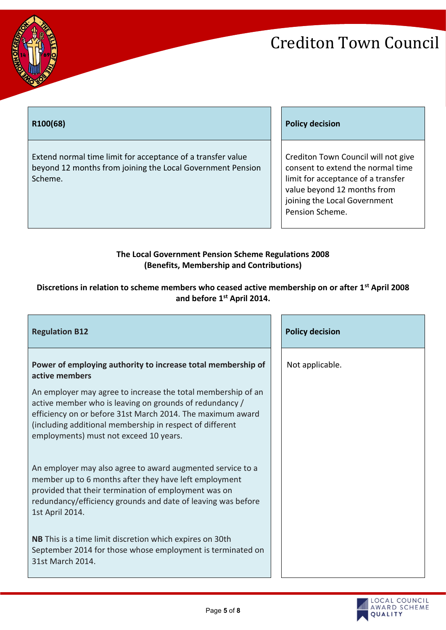

Extend normal time limit for acceptance of a transfer value beyond 12 months from joining the Local Government Pension Scheme.

### **R100(68) Policy decision**

Crediton Town Council will not give consent to extend the normal time limit for acceptance of a transfer value beyond 12 months from joining the Local Government Pension Scheme.

### **The Local Government Pension Scheme Regulations 2008 (Benefits, Membership and Contributions)**

## **Discretions in relation to scheme members who ceased active membership on or after 1st April 2008 and before 1st April 2014.**

| <b>Regulation B12</b>                                                                                                                                                                                                                                                                       |  | <b>Policy decision</b> |
|---------------------------------------------------------------------------------------------------------------------------------------------------------------------------------------------------------------------------------------------------------------------------------------------|--|------------------------|
| Power of employing authority to increase total membership of<br>active members                                                                                                                                                                                                              |  | Not applicable.        |
| An employer may agree to increase the total membership of an<br>active member who is leaving on grounds of redundancy /<br>efficiency on or before 31st March 2014. The maximum award<br>(including additional membership in respect of different<br>employments) must not exceed 10 years. |  |                        |
| An employer may also agree to award augmented service to a<br>member up to 6 months after they have left employment<br>provided that their termination of employment was on<br>redundancy/efficiency grounds and date of leaving was before<br>1st April 2014.                              |  |                        |
| NB This is a time limit discretion which expires on 30th<br>September 2014 for those whose employment is terminated on<br>31st March 2014.                                                                                                                                                  |  |                        |

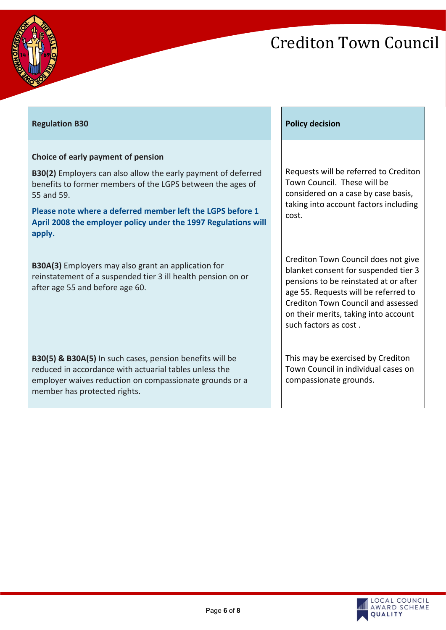



## **Regulation B30 Policy decision Policy decision Policy decision**

### **Choice of early payment of pension**

**B30(2)** Employers can also allow the early payment of deferred benefits to former members of the LGPS between the ages of 55 and 59.

**Please note where a deferred member left the LGPS before 1 April 2008 the employer policy under the 1997 Regulations will apply.**

**B30A(3)** Employers may also grant an application for reinstatement of a suspended tier 3 ill health pension on or after age 55 and before age 60.

**B30(5) & B30A(5)** In such cases, pension benefits will be reduced in accordance with actuarial tables unless the employer waives reduction on compassionate grounds or a member has protected rights.

Requests will be referred to Crediton Town Council. These will be considered on a case by case basis, taking into account factors including cost.

Crediton Town Council does not give blanket consent for suspended tier 3 pensions to be reinstated at or after age 55. Requests will be referred to Crediton Town Council and assessed on their merits, taking into account such factors as cost .

This may be exercised by Crediton Town Council in individual cases on compassionate grounds.

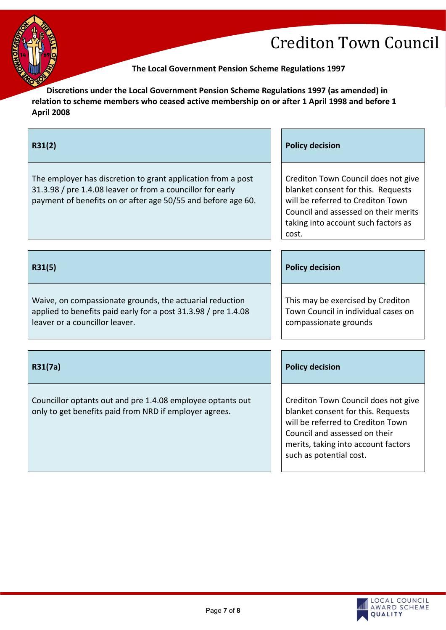

**The Local Government Pension Scheme Regulations 1997**

**Discretions under the Local Government Pension Scheme Regulations 1997 (as amended) in relation to scheme members who ceased active membership on or after 1 April 1998 and before 1 April 2008**

| R31(2)                                                                                                                                                                                     | <b>Policy decision</b>                                                                                                                                                                                            |
|--------------------------------------------------------------------------------------------------------------------------------------------------------------------------------------------|-------------------------------------------------------------------------------------------------------------------------------------------------------------------------------------------------------------------|
| The employer has discretion to grant application from a post<br>31.3.98 / pre 1.4.08 leaver or from a councillor for early<br>payment of benefits on or after age 50/55 and before age 60. | Crediton Town Council does not give<br>blanket consent for this. Requests<br>will be referred to Crediton Town<br>Council and assessed on their merits<br>taking into account such factors as<br>cost.            |
|                                                                                                                                                                                            |                                                                                                                                                                                                                   |
| R31(5)                                                                                                                                                                                     | <b>Policy decision</b>                                                                                                                                                                                            |
| Waive, on compassionate grounds, the actuarial reduction<br>applied to benefits paid early for a post 31.3.98 / pre 1.4.08<br>leaver or a councillor leaver.                               | This may be exercised by Crediton<br>Town Council in individual cases on<br>compassionate grounds                                                                                                                 |
|                                                                                                                                                                                            |                                                                                                                                                                                                                   |
| R31(7a)                                                                                                                                                                                    | <b>Policy decision</b>                                                                                                                                                                                            |
| Councillor optants out and pre 1.4.08 employee optants out<br>only to get benefits paid from NRD if employer agrees.                                                                       | Crediton Town Council does not give<br>blanket consent for this. Requests<br>will be referred to Crediton Town<br>Council and assessed on their<br>merits, taking into account factors<br>such as potential cost. |